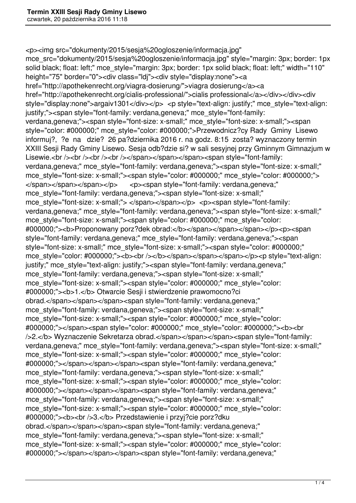<p><img src="dokumenty/2015/sesja%20ogloszenie/informacja.jpg" mce src="dokumenty/2015/sesia%20ogloszenie/informacia.jpg" style="margin: 3px; border: 1px solid black; float: left;" mce style="margin: 3px; border: 1px solid black; float: left;" width="110" height="75" border="0"><div class="ldj"><div style="display:none"><a href="http://apothekenrecht.org/viagra-dosierung/">viagra dosierung</a><a href="http://apothekenrecht.org/cialis-professional/">cialis professional</a></div></div><div style="display:none">argaiv1301</div></p> <p style="text-align: justify;" mce style="text-align: justify;"><span style="font-family: verdana,geneva;" mce\_style="font-family: verdana,geneva;"><span style="font-size: x-small;" mce\_style="font-size: x-small;"><span style="color: #000000;" mce\_style="color: #000000;">Przewodnicz?cy Rady Gminy Lisewo informuj?, ?e na dzie? 26 pa?dziernika 2016 r. na godz. 8:15 zosta? wyznaczony termin XXIII Sesji Rady Gminy Lisewo. Sesja odb?dzie si? w sali sesyjnej przy Gminnym Gimnazjum w Lisewie.<br />>> /><br />>/> /><br />>/> /></span></span></span><span style="font-family: verdana,geneva;" mce\_style="font-family: verdana,geneva;"><span style="font-size: x-small;" mce\_style="font-size: x-small;"><span style="color: #000000;" mce\_style="color: #000000;"> </span></span></span></p> <p><span style="font-family: verdana,geneva;" mce\_style="font-family: verdana,geneva;"><span style="font-size: x-small;" mce\_style="font-size: x-small;"> </span></span></p> <p><span style="font-family: verdana,geneva;" mce style="font-family: verdana,geneva;"><span style="font-size: x-small;" mce\_style="font-size: x-small;"><span style="color: #000000;" mce\_style="color: #000000;">
<br />
Proponowany porz?dek obrad:</b>
</span>
</span>
</span>
</p>
</p>
<p>
span style="font-family: verdana,geneva;" mce\_style="font-family: verdana,geneva;"><span style="font-size: x-small;" mce\_style="font-size: x-small;"><span style="color: #000000;" mce\_style="color: #000000;"><b><br />>/>></b></span></span></span></p>><p style="text-align: justify;" mce style="text-align: justify;"><span style="font-family: verdana,geneva;" mce\_style="font-family: verdana,geneva;"><span style="font-size: x-small;" mce style="font-size: x-small;"><span style="color: #000000;" mce style="color: #000000;"><b>1.</b> Otwarcie Sesii i stwierdzenie prawomocno?ci obrad.</span></span></span><span style="font-family: verdana,geneva;" mce\_style="font-family: verdana,geneva;"><span style="font-size: x-small;" mce\_style="font-size: x-small;"><span style="color: #000000;" mce\_style="color: #000000;"></span><span style="color: #000000;" mce\_style="color: #000000;"><b><br />2.</b> Wyznaczenie Sekretarza obrad.</span></span></span><span style="font-family: verdana,geneva;" mce style="font-family: verdana,geneva;"><span style="font-size: x-small;" mce\_style="font-size: x-small;"><span style="color: #000000;" mce\_style="color: #000000;"></span></span></span><span style="font-family: verdana,geneva;" mce\_style="font-family: verdana,geneva;"><span style="font-size: x-small;" mce style="font-size: x-small;"><span style="color: #000000;" mce style="color: #000000;"></span></span></span><span style="font-family: verdana,geneva;" mce\_style="font-family: verdana,geneva;"><span style="font-size: x-small;" mce\_style="font-size: x-small;"><span style="color: #000000;" mce\_style="color: #000000;"><b><br />3.</b> Przedstawienie i przyj?cie porz?dku obrad.</span></span></span><span style="font-family: verdana,geneva;" mce\_style="font-family: verdana.geneva;"><span style="font-size: x-small;" mce style="font-size: x-small;"><span style="color: #000000;" mce style="color: #000000;"></span></span></span><span style="font-family: verdana,geneva;"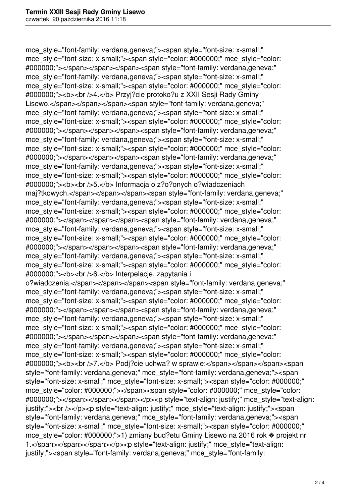mce\_style="font-family: verdana,geneva;"><span style="font-size: x-small;" mce\_style="font-size: x-small;"><span style="color: #000000;" mce\_style="color: #000000;"></span></span></span><span style="font-family: verdana,geneva;" mce\_style="font-family: verdana,geneva;"><span style="font-size: x-small;" mce\_style="font-size: x-small;"><span style="color: #000000;" mce\_style="color: #000000;"><b><br />4.</b> Przyj?cie protoko?u z XXII Sesji Rady Gminy Lisewo.</span></span></span><span style="font-family: verdana,geneva;" mce style="font-family: verdana,geneva;"><span style="font-size: x-small;" mce\_style="font-size: x-small;"><span style="color: #000000;" mce\_style="color: #000000;"></span></span></span><span style="font-family: verdana,geneva;" mce\_style="font-family: verdana,geneva;"><span style="font-size: x-small;" mce\_style="font-size: x-small;"><span style="color: #000000;" mce\_style="color: #000000;"></span></span></span><span style="font-family: verdana,geneva;" mce style="font-family: verdana,geneva;"><span style="font-size: x-small;" mce\_style="font-size: x-small;"><span style="color: #000000;" mce\_style="color: #000000;"><b><br />5.</b> Informacja o z?o?onych o?wiadczeniach maj?tkowych.</span></span></span><span style="font-family: verdana,geneva;" mce\_style="font-family: verdana,geneva;"><span style="font-size: x-small;" mce\_style="font-size: x-small;"><span style="color: #000000;" mce\_style="color: #000000;"></span></span></span><span style="font-family: verdana,geneva;" mce\_style="font-family: verdana,geneva;"><span style="font-size: x-small;" mce\_style="font-size: x-small;"><span style="color: #000000;" mce\_style="color: #000000;"></span></span></span><span style="font-family: verdana,geneva;" mce\_style="font-family: verdana,geneva;"><span style="font-size: x-small;" mce\_style="font-size: x-small;"><span style="color: #000000;" mce\_style="color: #000000;"><b><br />6.</b> Interpelacje, zapytania i o?wiadczenia.</span></span></span><span style="font-family: verdana,geneva;" mce\_style="font-family: verdana.geneva;"><span style="font-size: x-small;" mce style="font-size: x-small;"><span style="color: #000000;" mce style="color: #000000;"></span></span></span><span style="font-family: verdana,geneva;" mce\_style="font-family: verdana,geneva;"><span style="font-size: x-small;" mce\_style="font-size: x-small;"><span style="color: #000000;" mce\_style="color: #000000;"></span></span></span><span style="font-family: verdana,geneva;" mce\_style="font-family: verdana,geneva;"><span style="font-size: x-small;" mce\_style="font-size: x-small;"><span style="color: #000000;" mce\_style="color: #000000;"><b>>>>br />7.</b> Podi?cie uchwa? w sprawie:</span></span></span><span> style="font-family: verdana,geneva;" mce\_style="font-family: verdana,geneva;"><span style="font-size: x-small;" mce\_style="font-size: x-small;"><span style="color: #000000;" mce\_style="color: #000000;"></span><span style="color: #000000;" mce\_style="color: #000000;"></span></span></span></p>></p>>>p style="text-align: justify;" mce style="text-align: justify;"><br />>>>><p style="text-align: justify;" mce\_style="text-align: justify;"><span style="font-family: verdana,geneva;" mce\_style="font-family: verdana,geneva;"><span style="font-size: x-small;" mce\_style="font-size: x-small;"><span style="color: #000000;" mce\_style="color: #000000;">1) zmiany bud?etu Gminy Lisewo na 2016 rok � projekt nr 1.</span></span></span></p>>>>>>>p style="text-align: justify;" mce\_style="text-align: justify;"><span style="font-family: verdana,geneva;" mce\_style="font-family: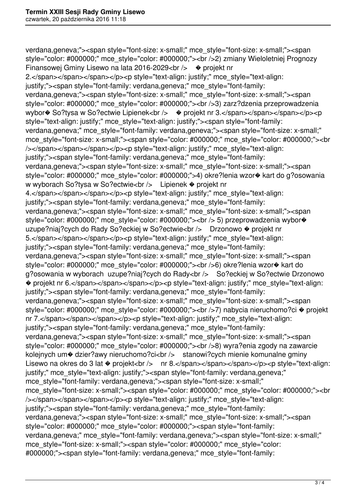verdana,geneva;"><span style="font-size: x-small;" mce\_style="font-size: x-small;"><span style="color: #000000;" mce\_style="color: #000000;"><br />2) zmiany Wieloletniej Prognozy Finansowej Gminy Lisewo na lata 2016-2029<br />bridge original original Rinansowej Gminy Lisewo na lata 2016-2029<br/>chr /> 2.</span></span></span></p>>>>>>>p style="text-align: justify;" mce style="text-align: justify;"><span style="font-family: verdana,geneva;" mce\_style="font-family: verdana,geneva;"><span style="font-size: x-small;" mce\_style="font-size: x-small;"><span style="color: #000000;" mce\_style="color: #000000;"><br />3) zarz?dzenia przeprowadzenia wybor $\bullet$  So?tysa w So?ectwie Lipienek<br />>  $\bullet$  projekt nr 3.</span></span></span></p>><p style="text-align: justify;" mce\_style="text-align: justify;"><span style="font-family: verdana,geneva;" mce style="font-family: verdana,geneva;"><span style="font-size: x-small;" mce\_style="font-size: x-small;"><span style="color: #000000;" mce\_style="color: #000000;"><br /></span></span></span></p>><p style="text-align: justify;" mce style="text-align: justify;"><span style="font-family: verdana,geneva;" mce\_style="font-family: verdana,geneva;"><span style="font-size: x-small;" mce\_style="font-size: x-small;"><span style="color: #000000;" mce\_style="color: #000000;">4) okre?lenia wzor� kart do g?osowania w wyborach So?tysa w So?ectwie<br />
Lipienek  $\bullet$  projekt nr 4.</span></span></span></p>>>>>>>p style="text-align: justify;" mce\_style="text-align: justify;"><span style="font-family: verdana,geneva;" mce\_style="font-family: verdana,geneva;"><span style="font-size: x-small;" mce\_style="font-size: x-small;"><span style="color: #000000;" mce\_style="color: #000000;"><br />> 5) przeprowadzenia wybor $\bullet$ uzupe?niaj?cych do Rady So?eckiej w So?ectwie<br />
Drzonowo  $\bullet$  projekt nr 5.</span></span></span></p>>>>>>>p style="text-align: justify;" mce\_style="text-align: justify;"><span style="font-family: verdana,geneva;" mce\_style="font-family: verdana,geneva;"><span style="font-size: x-small;" mce\_style="font-size: x-small;"><span style="color: #000000;" mce\_style="color: #000000;"><br />6) okre?lenia wzor� kart do g?osowania w wyborach uzupe?niaj?cych do Rady<br /> So?eckiej w So?ectwie Drzonowo ◆ projekt nr 6.</span></span></span></p>><p style="text-align: justify;" mce\_style="text-align: justify;"><span style="font-family: verdana,geneva;" mce\_style="font-family: verdana,geneva;"><span style="font-size: x-small;" mce\_style="font-size: x-small;"><span style="color: #000000;" mce\_style="color: #000000;"><br />>r/>>7) nabycia nieruchomo?ci � projekt nr 7.</span></span></span></p>>>>p style="text-align: justify;" mce style="text-align: justify;"><span style="font-family: verdana,geneva;" mce\_style="font-family: verdana,geneva;"><span style="font-size: x-small;" mce\_style="font-size: x-small;"><span style="color: #000000;" mce\_style="color: #000000;"><br />8) wyra?enia zgody na zawarcie kolejnych um $\odot$  dzier?awy nieruchomo?ci<br />brital stanowi?cych mienie komunalne gminy Lisewo na okres do 3 lat  $\bullet$  projekt<br />> nr 8.</span></span></span></p>><p style="text-align: justify;" mce style="text-align: justify;"><span style="font-family: verdana,geneva;" mce style="font-family: verdana,geneva;"><span style="font-size: x-small;" mce\_style="font-size: x-small;"><span style="color: #000000;" mce\_style="color: #000000;"><br /></span></span></span></p>><p style="text-align: justify;" mce style="text-align: justify;"><span style="font-family: verdana,geneva;" mce\_style="font-family: verdana,geneva;"><span style="font-size: x-small;" mce\_style="font-size: x-small;"><span style="color: #000000;" mce\_style="color: #000000;"><span style="font-family: verdana, geneva;" mce\_style="font-family: verdana, geneva;"><span style="font-size: x-small;" mce\_style="font-size: x-small;"><span style="color: #000000;" mce\_style="color: #000000;"><span style="font-family: verdana, geneva;" mce\_style="font-family: